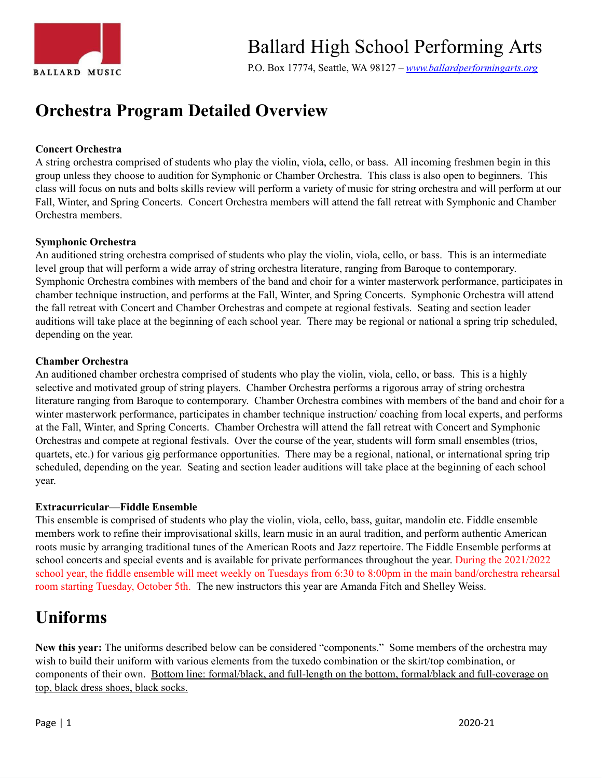

# Ballard High School Performing Arts

P.O. Box 17774, Seattle, WA 98127 *– [www.ballardperformingarts.org](http://www.ballardperformingarts.org/Home.aspx)*

# **Orchestra Program Detailed Overview**

#### **Concert Orchestra**

A string orchestra comprised of students who play the violin, viola, cello, or bass. All incoming freshmen begin in this group unless they choose to audition for Symphonic or Chamber Orchestra. This class is also open to beginners. This class will focus on nuts and bolts skills review will perform a variety of music for string orchestra and will perform at our Fall, Winter, and Spring Concerts. Concert Orchestra members will attend the fall retreat with Symphonic and Chamber Orchestra members.

#### **Symphonic Orchestra**

An auditioned string orchestra comprised of students who play the violin, viola, cello, or bass. This is an intermediate level group that will perform a wide array of string orchestra literature, ranging from Baroque to contemporary. Symphonic Orchestra combines with members of the band and choir for a winter masterwork performance, participates in chamber technique instruction, and performs at the Fall, Winter, and Spring Concerts. Symphonic Orchestra will attend the fall retreat with Concert and Chamber Orchestras and compete at regional festivals. Seating and section leader auditions will take place at the beginning of each school year. There may be regional or national a spring trip scheduled, depending on the year.

#### **Chamber Orchestra**

An auditioned chamber orchestra comprised of students who play the violin, viola, cello, or bass. This is a highly selective and motivated group of string players. Chamber Orchestra performs a rigorous array of string orchestra literature ranging from Baroque to contemporary. Chamber Orchestra combines with members of the band and choir for a winter masterwork performance, participates in chamber technique instruction/ coaching from local experts, and performs at the Fall, Winter, and Spring Concerts. Chamber Orchestra will attend the fall retreat with Concert and Symphonic Orchestras and compete at regional festivals. Over the course of the year, students will form small ensembles (trios, quartets, etc.) for various gig performance opportunities. There may be a regional, national, or international spring trip scheduled, depending on the year. Seating and section leader auditions will take place at the beginning of each school year.

#### **Extracurricular—Fiddle Ensemble**

This ensemble is comprised of students who play the violin, viola, cello, bass, guitar, mandolin etc. Fiddle ensemble members work to refine their improvisational skills, learn music in an aural tradition, and perform authentic American roots music by arranging traditional tunes of the American Roots and Jazz repertoire. The Fiddle Ensemble performs at school concerts and special events and is available for private performances throughout the year. During the 2021/2022 school year, the fiddle ensemble will meet weekly on Tuesdays from 6:30 to 8:00pm in the main band/orchestra rehearsal room starting Tuesday, October 5th. The new instructors this year are Amanda Fitch and Shelley Weiss.

### **Uniforms**

**New this year:** The uniforms described below can be considered "components." Some members of the orchestra may wish to build their uniform with various elements from the tuxedo combination or the skirt/top combination, or components of their own. Bottom line: formal/black, and full-length on the bottom, formal/black and full-coverage on top, black dress shoes, black socks.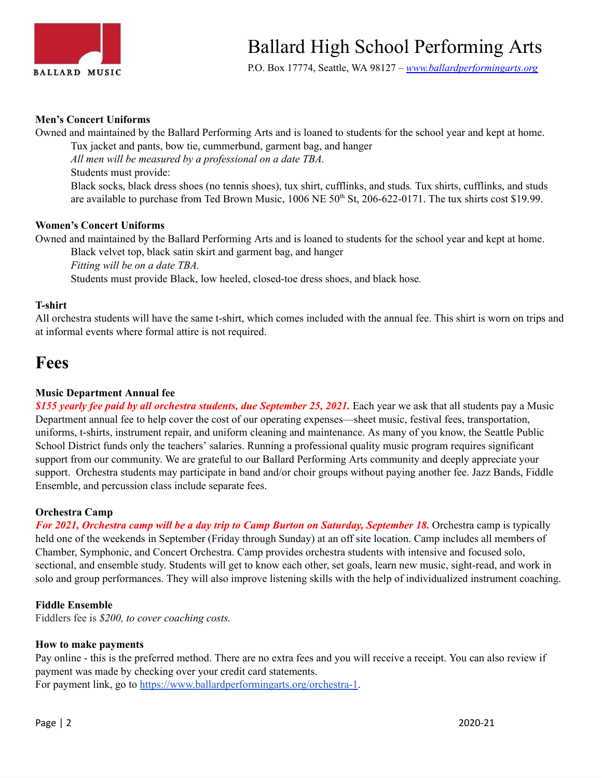

P.O. Box 17774, Seattle, WA 98127 *– [www.ballardperformingarts.org](http://www.ballardperformingarts.org/Home.aspx)*

#### **Men's Concert Uniforms**

Owned and maintained by the Ballard Performing Arts and is loaned to students for the school year and kept at home. Tux jacket and pants, bow tie, cummerbund, garment bag, and hanger *All men will be measured by a professional on a date TBA.* Students must provide: Black socks, black dress shoes (no tennis shoes), tux shirt, cufflinks, and studs*.* Tux shirts, cufflinks, and studs are available to purchase from Ted Brown Music, 1006 NE 50<sup>th</sup> St, 206-622-0171. The tux shirts cost \$19.99.

#### **Women's Concert Uniforms**

Owned and maintained by the Ballard Performing Arts and is loaned to students for the school year and kept at home. Black velvet top, black satin skirt and garment bag, and hanger

*Fitting will be on a date TBA.*

Students must provide Black, low heeled, closed-toe dress shoes, and black hose*.*

#### **T-shirt**

All orchestra students will have the same t-shirt, which comes included with the annual fee. This shirt is worn on trips and at informal events where formal attire is not required.

### **Fees**

#### **Music Department Annual fee**

*\$155 yearly fee paid by all orchestra students, due September 25, 2021.* Each year we ask that all students pay a Music Department annual fee to help cover the cost of our operating expenses—sheet music, festival fees, transportation, uniforms, t-shirts, instrument repair, and uniform cleaning and maintenance. As many of you know, the Seattle Public School District funds only the teachers' salaries. Running a professional quality music program requires significant support from our community. We are grateful to our Ballard Performing Arts community and deeply appreciate your support. Orchestra students may participate in band and/or choir groups without paying another fee. Jazz Bands, Fiddle Ensemble, and percussion class include separate fees.

#### **Orchestra Camp**

For 2021, Orchestra camp will be a day trip to Camp Burton on Saturday, September 18. Orchestra camp is typically held one of the weekends in September (Friday through Sunday) at an off site location. Camp includes all members of Chamber, Symphonic, and Concert Orchestra. Camp provides orchestra students with intensive and focused solo, sectional, and ensemble study. Students will get to know each other, set goals, learn new music, sight-read, and work in solo and group performances. They will also improve listening skills with the help of individualized instrument coaching.

#### **Fiddle Ensemble**

Fiddlers fee is *\$200, to cover coaching costs.*

#### **How to make payments**

Pay online - this is the preferred method. There are no extra fees and you will receive a receipt. You can also review if payment was made by checking over your credit card statements. For payment link, go to <https://www.ballardperformingarts.org/orchestra-1>.